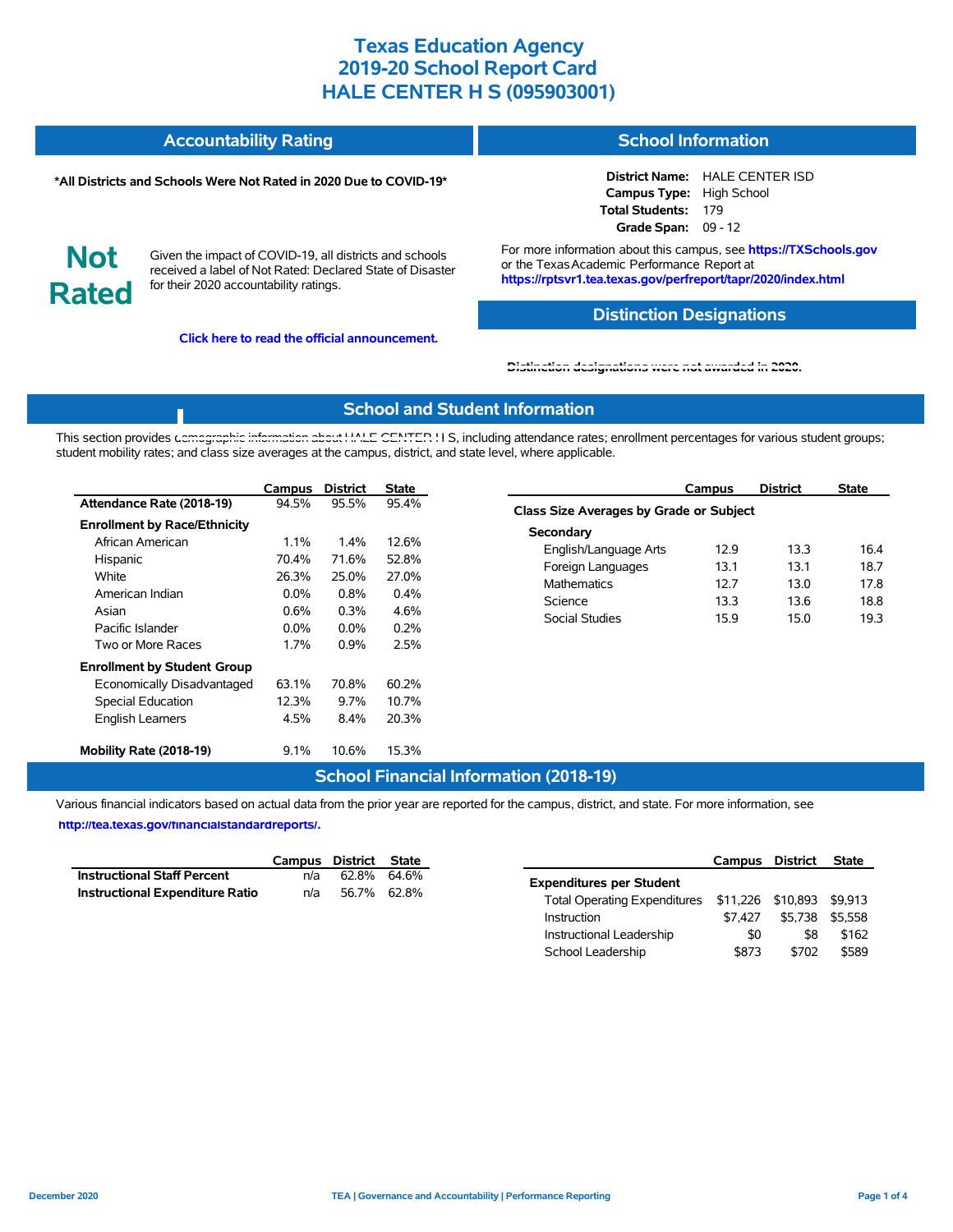#### **Accountability Rating School Information**

#### **\*All Districts and Schools Were Not Rated in 2020 Due to COVID-19\***

**District Name:** HALE CENTER ISD **Campus Type:** High School **Total Students:** 179 **Grade Span:** 09 - 12

**Not Rated**

Given the impact of COVID-19, all districts and schools received a label of Not Rated: Declared State of Disaster for their 2020 accountability ratings.

**Click here to read the official announcement.**

For more information about this campus, see **https://TXSchools.gov** or the Texas Academic Performance Report at **https://rptsvr1.tea.texas.gov/perfreport/tapr/2020/index.html**

### **Distinction Designations**

#### **[Distinction designations were not awarded in 2020.](https://rptsvr1.tea.texas.gov/perfreport/tapr/2020/index.html)**

### **School and Student Information**

This section provides [demographic information about HALE CENTER H](https://tea.texas.gov/about-tea/news-and-multimedia/correspondence/taa-letters/every-student-succeeds-act-essa-waiver-approval-2020-state-academic-accountability) S, including attendance rates; enrollment percentages for various student groups; student mobility rates; and class size averages at the campus, district, and state level, where applicable.

|                                     | Campus  | <b>District</b> | <b>State</b> |
|-------------------------------------|---------|-----------------|--------------|
| Attendance Rate (2018-19)           | 94.5%   | 95.5%           | 95.4%        |
| <b>Enrollment by Race/Ethnicity</b> |         |                 |              |
| African American                    | $1.1\%$ | $1.4\%$         | 12.6%        |
| Hispanic                            | 70.4%   | 71.6%           | 52.8%        |
| White                               | 26.3%   | 25.0%           | 27.0%        |
| American Indian                     | $0.0\%$ | 0.8%            | 0.4%         |
| Asian                               | $0.6\%$ | $0.3\%$         | 4.6%         |
| Pacific Islander                    | $0.0\%$ | $0.0\%$         | $0.2\%$      |
| Two or More Races                   | 1.7%    | $0.9\%$         | 2.5%         |
| <b>Enrollment by Student Group</b>  |         |                 |              |
| Economically Disadvantaged          | 63.1%   | 70.8%           | 60.2%        |
| <b>Special Education</b>            | 12.3%   | $9.7\%$         | 10.7%        |
| <b>English Learners</b>             | 4.5%    | 8.4%            | 20.3%        |
| Mobility Rate (2018-19)             | $9.1\%$ | 10.6%           | 15.3%        |

|                                         | Campus | District | State |  |  |  |  |  |  |
|-----------------------------------------|--------|----------|-------|--|--|--|--|--|--|
| Class Size Averages by Grade or Subject |        |          |       |  |  |  |  |  |  |
| Secondary                               |        |          |       |  |  |  |  |  |  |
| English/Language Arts                   | 129    | 13.3     | 16.4  |  |  |  |  |  |  |
| Foreign Languages                       | 13.1   | 13.1     | 18.7  |  |  |  |  |  |  |
| <b>Mathematics</b>                      | 12 7   | 130      | 17.8  |  |  |  |  |  |  |
| Science                                 | 13.3   | 13.6     | 18.8  |  |  |  |  |  |  |
| Social Studies                          | 159    | 150      | 19.3  |  |  |  |  |  |  |

Instructional Leadership  $$0$  \$8 \$162 School Leadership  $$873$  \$702 \$589

### **School Financial Information (2018-19)**

Various financial indicators based on actual data from the prior year are reported for the campus, district, and state. For more information, see

**[http://tea.texas.gov/financialstandardreports/.](http://tea.texas.gov/financialstandardreports/)**

|                                    |     | Campus District State |                                                        | <b>Campus District</b> | State           |
|------------------------------------|-----|-----------------------|--------------------------------------------------------|------------------------|-----------------|
| <b>Instructional Staff Percent</b> | n/a | 62.8% 64.6%           | <b>Expenditures per Student</b>                        |                        |                 |
| Instructional Expenditure Ratio    | n/a | 56.7% 62.8%           | Total Operating Expenditures \$11,226 \$10,893 \$9,913 |                        |                 |
|                                    |     |                       | \$7.427<br>Instruction                                 |                        | \$5,738 \$5,558 |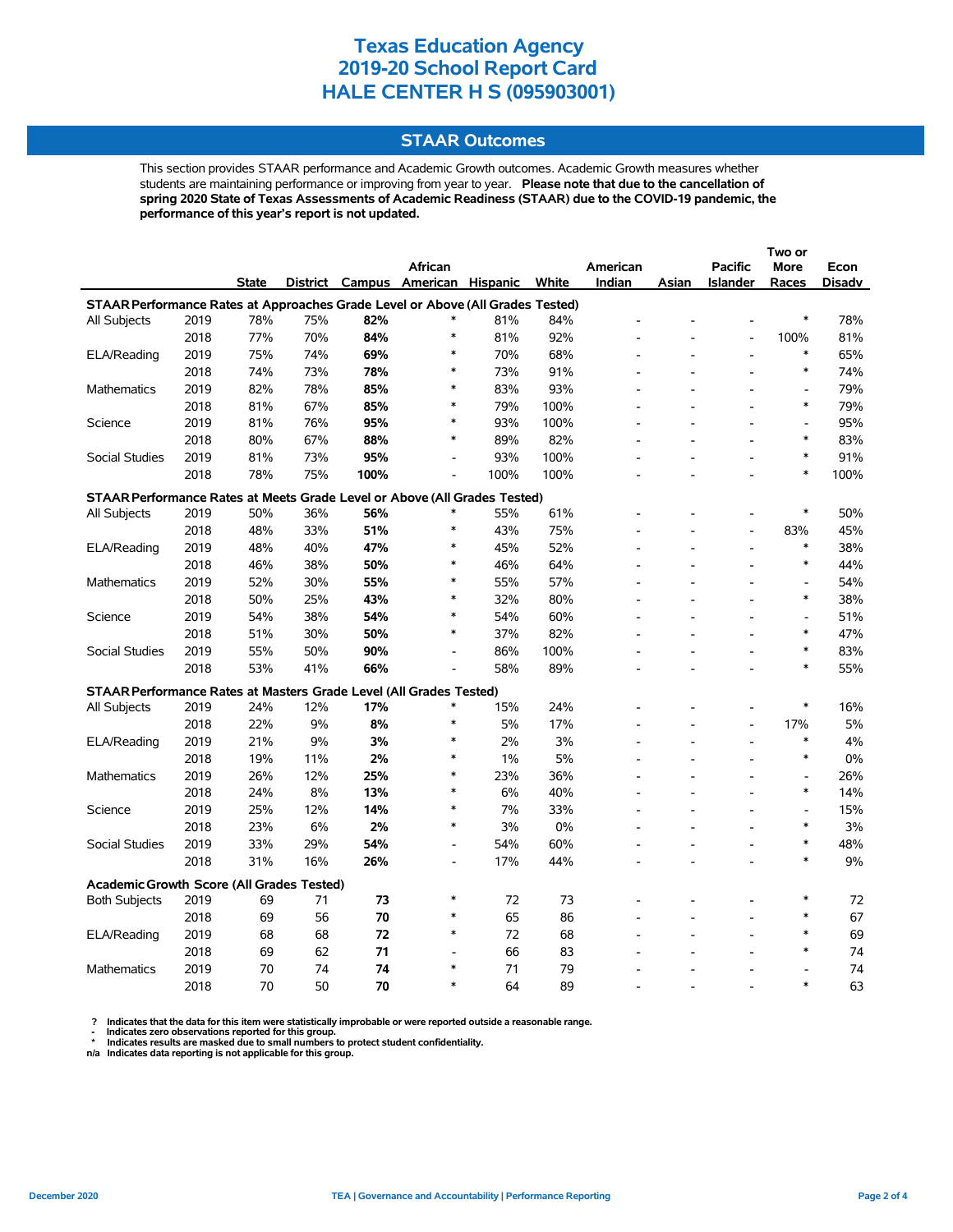### **STAAR Outcomes**

This section provides STAAR performance and Academic Growth outcomes. Academic Growth measures whether students are maintaining performance or improving from year to year. **Please note that due to the cancellation of spring 2020 State of Texas Assessments of Academic Readiness (STAAR) due to the COVID-19 pandemic, the performance of this year's report is not updated.**

|                                                                                |      |              |     |      |                                   |      |       |          |                |                          | Two or                   |               |
|--------------------------------------------------------------------------------|------|--------------|-----|------|-----------------------------------|------|-------|----------|----------------|--------------------------|--------------------------|---------------|
|                                                                                |      |              |     |      | <b>African</b>                    |      |       | American |                | <b>Pacific</b>           | <b>More</b>              | Econ          |
|                                                                                |      | <b>State</b> |     |      | District Campus American Hispanic |      | White | Indian   | Asian          | <b>Islander</b>          | Races                    | <b>Disadv</b> |
| STAAR Performance Rates at Approaches Grade Level or Above (All Grades Tested) |      |              |     |      |                                   |      |       |          |                |                          |                          |               |
| All Subjects                                                                   | 2019 | 78%          | 75% | 82%  | $\ast$                            | 81%  | 84%   |          |                |                          | $\ast$                   | 78%           |
|                                                                                | 2018 | 77%          | 70% | 84%  | ∗                                 | 81%  | 92%   |          |                | $\overline{a}$           | 100%                     | 81%           |
| ELA/Reading                                                                    | 2019 | 75%          | 74% | 69%  | $\ast$                            | 70%  | 68%   |          |                |                          | $\ast$                   | 65%           |
|                                                                                | 2018 | 74%          | 73% | 78%  | $\ast$                            | 73%  | 91%   |          |                |                          | $\ast$                   | 74%           |
| <b>Mathematics</b>                                                             | 2019 | 82%          | 78% | 85%  | $\ast$                            | 83%  | 93%   |          |                |                          | $\overline{\phantom{a}}$ | 79%           |
|                                                                                | 2018 | 81%          | 67% | 85%  | $\ast$                            | 79%  | 100%  |          |                |                          | $\ast$                   | 79%           |
| Science                                                                        | 2019 | 81%          | 76% | 95%  | $\ast$                            | 93%  | 100%  |          |                |                          | $\blacksquare$           | 95%           |
|                                                                                | 2018 | 80%          | 67% | 88%  | $\ast$                            | 89%  | 82%   |          |                |                          | $\ast$                   | 83%           |
| <b>Social Studies</b>                                                          | 2019 | 81%          | 73% | 95%  | $\overline{a}$                    | 93%  | 100%  |          |                |                          | $\ast$                   | 91%           |
|                                                                                | 2018 | 78%          | 75% | 100% |                                   | 100% | 100%  |          |                |                          | $\ast$                   | 100%          |
| STAAR Performance Rates at Meets Grade Level or Above (All Grades Tested)      |      |              |     |      |                                   |      |       |          |                |                          |                          |               |
| All Subjects                                                                   | 2019 | 50%          | 36% | 56%  | $\ast$                            | 55%  | 61%   |          |                |                          | $\ast$                   | 50%           |
|                                                                                | 2018 | 48%          | 33% | 51%  | $\ast$                            | 43%  | 75%   |          |                | L,                       | 83%                      | 45%           |
| ELA/Reading                                                                    | 2019 | 48%          | 40% | 47%  | $\ast$                            | 45%  | 52%   |          |                | $\overline{a}$           | $\ast$                   | 38%           |
|                                                                                | 2018 | 46%          | 38% | 50%  | $\ast$                            | 46%  | 64%   |          |                |                          | $\ast$                   | 44%           |
| <b>Mathematics</b>                                                             | 2019 | 52%          | 30% | 55%  | $\ast$                            | 55%  | 57%   |          |                |                          | $\blacksquare$           | 54%           |
|                                                                                | 2018 | 50%          | 25% | 43%  | $\ast$                            | 32%  | 80%   |          |                | $\overline{a}$           | $\ast$                   | 38%           |
| Science                                                                        | 2019 | 54%          | 38% | 54%  | $\ast$                            | 54%  | 60%   |          |                |                          | ÷,                       | 51%           |
|                                                                                | 2018 | 51%          | 30% | 50%  | $\ast$                            | 37%  | 82%   |          |                |                          | $\ast$                   | 47%           |
| <b>Social Studies</b>                                                          | 2019 | 55%          | 50% | 90%  | $\overline{a}$                    | 86%  | 100%  |          |                | $\overline{a}$           | $\ast$                   | 83%           |
|                                                                                | 2018 | 53%          | 41% | 66%  | $\overline{a}$                    | 58%  | 89%   |          |                |                          | $\ast$                   | 55%           |
| STAAR Performance Rates at Masters Grade Level (All Grades Tested)             |      |              |     |      |                                   |      |       |          |                |                          |                          |               |
|                                                                                | 2019 | 24%          | 12% | 17%  | ∗                                 | 15%  | 24%   |          |                | $\overline{a}$           | $\ast$                   | 16%           |
| All Subjects                                                                   | 2018 | 22%          | 9%  | 8%   | ∗                                 | 5%   | 17%   |          |                | $\overline{a}$           | 17%                      | 5%            |
| ELA/Reading                                                                    | 2019 | 21%          | 9%  | 3%   | $\ast$                            | 2%   | 3%    |          |                | $\overline{\phantom{a}}$ | $\ast$                   | 4%            |
|                                                                                | 2018 | 19%          | 11% | 2%   | $\ast$                            | 1%   | 5%    |          |                |                          | $\ast$                   | 0%            |
| <b>Mathematics</b>                                                             | 2019 | 26%          | 12% | 25%  | $\ast$                            | 23%  | 36%   |          |                |                          | $\overline{\phantom{a}}$ | 26%           |
|                                                                                | 2018 | 24%          | 8%  | 13%  | $\ast$                            | 6%   | 40%   |          |                |                          | $\ast$                   | 14%           |
| Science                                                                        | 2019 | 25%          | 12% | 14%  | $\ast$                            | 7%   | 33%   |          |                | $\overline{a}$           | $\overline{\phantom{a}}$ | 15%           |
|                                                                                | 2018 | 23%          | 6%  | 2%   | ∗                                 | 3%   | 0%    |          |                |                          | $\ast$                   | 3%            |
| Social Studies                                                                 | 2019 | 33%          | 29% | 54%  | $\overline{\phantom{a}}$          | 54%  | 60%   |          |                | $\overline{a}$           | $\ast$                   | 48%           |
|                                                                                | 2018 | 31%          | 16% | 26%  | $\blacksquare$                    | 17%  | 44%   |          | $\overline{a}$ | $\overline{a}$           | $\ast$                   | 9%            |
|                                                                                |      |              |     |      |                                   |      |       |          |                |                          |                          |               |
| <b>Academic Growth Score (All Grades Tested)</b>                               |      |              |     |      |                                   |      |       |          |                |                          |                          |               |
| <b>Both Subjects</b>                                                           | 2019 | 69           | 71  | 73   | $\ast$                            | 72   | 73    |          |                |                          | $\ast$                   | 72            |
|                                                                                | 2018 | 69           | 56  | 70   | ∗                                 | 65   | 86    |          |                |                          | $\ast$                   | 67            |
| ELA/Reading                                                                    | 2019 | 68           | 68  | 72   | $\ast$                            | 72   | 68    |          |                |                          | $\ast$                   | 69            |
|                                                                                | 2018 | 69           | 62  | 71   |                                   | 66   | 83    |          |                |                          | $\ast$                   | 74            |
| <b>Mathematics</b>                                                             | 2019 | 70           | 74  | 74   | $\ast$                            | 71   | 79    |          |                |                          |                          | 74            |
|                                                                                | 2018 | 70           | 50  | 70   | $\ast$                            | 64   | 89    |          |                |                          | $\ast$                   | 63            |

? Indicates that the data for this item were statistically improbable or were reported outside a reasonable range.<br>- Indicates zero observations reported for this group.<br>\* Indicates results are masked due to small numbers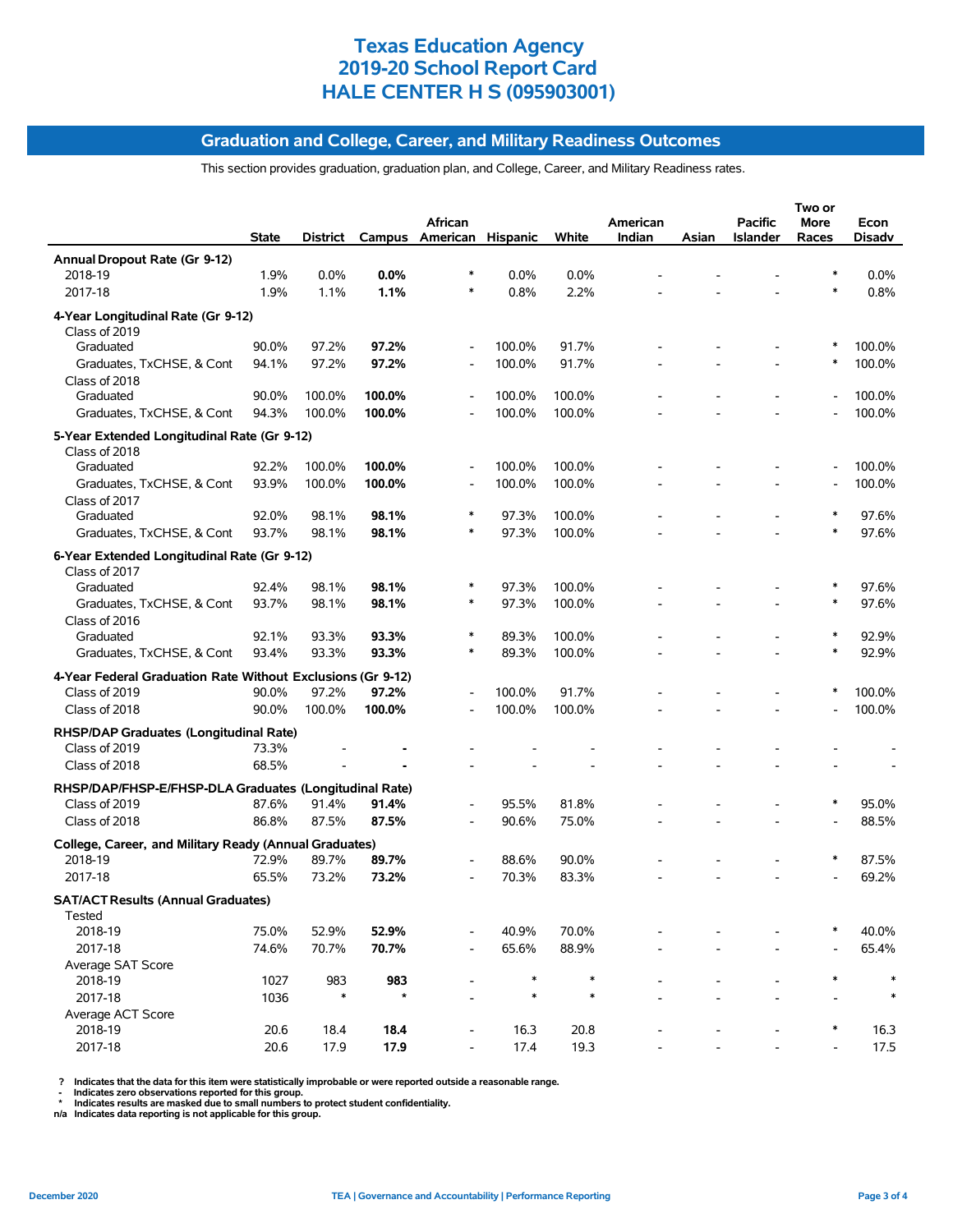#### **Graduation and College, Career, and Military Readiness Outcomes**

This section provides graduation, graduation plan, and College, Career, and Military Readiness rates.

|                                                                              |              |               |                |                          |        |        |          |       |                | Two or |         |
|------------------------------------------------------------------------------|--------------|---------------|----------------|--------------------------|--------|--------|----------|-------|----------------|--------|---------|
|                                                                              |              |               |                | African                  |        |        | American |       | <b>Pacific</b> | More   | Econ    |
|                                                                              | <b>State</b> | District      |                | Campus American Hispanic |        | White  | Indian   | Asian | Islander       | Races  | Disadv  |
| Annual Dropout Rate (Gr 9-12)                                                |              |               |                |                          |        |        |          |       |                |        |         |
| 2018-19                                                                      | 1.9%         | 0.0%          | 0.0%           |                          | 0.0%   | 0.0%   |          |       |                |        | $0.0\%$ |
| 2017-18                                                                      | 1.9%         | 1.1%          | 1.1%           | $\ast$                   | 0.8%   | 2.2%   |          |       |                | $\ast$ | 0.8%    |
| 4-Year Longitudinal Rate (Gr 9-12)                                           |              |               |                |                          |        |        |          |       |                |        |         |
| Class of 2019                                                                |              |               |                |                          |        |        |          |       |                |        |         |
| Graduated                                                                    | 90.0%        | 97.2%         | 97.2%          | $\overline{a}$           | 100.0% | 91.7%  |          |       |                |        | 100.0%  |
| Graduates, TxCHSE, & Cont                                                    | 94.1%        | 97.2%         | 97.2%          |                          | 100.0% | 91.7%  |          |       |                | ∗      | 100.0%  |
| Class of 2018                                                                |              |               |                |                          |        |        |          |       |                |        |         |
| Graduated                                                                    | 90.0%        | 100.0%        | 100.0%         |                          | 100.0% | 100.0% |          |       |                |        | 100.0%  |
| Graduates, TxCHSE, & Cont                                                    | 94.3%        | 100.0%        | 100.0%         |                          | 100.0% | 100.0% |          |       |                |        | 100.0%  |
| 5-Year Extended Longitudinal Rate (Gr 9-12)                                  |              |               |                |                          |        |        |          |       |                |        |         |
| Class of 2018                                                                |              |               |                |                          |        |        |          |       |                |        |         |
| Graduated                                                                    | 92.2%        | 100.0%        | 100.0%         |                          | 100.0% | 100.0% |          |       |                |        | 100.0%  |
| Graduates, TxCHSE, & Cont                                                    | 93.9%        | 100.0%        | 100.0%         |                          | 100.0% | 100.0% |          |       |                |        | 100.0%  |
| Class of 2017                                                                |              |               |                |                          |        |        |          |       |                |        |         |
| Graduated                                                                    | 92.0%        | 98.1%         | 98.1%          | $\ast$                   | 97.3%  | 100.0% |          |       |                |        | 97.6%   |
| Graduates, TxCHSE, & Cont                                                    | 93.7%        | 98.1%         | 98.1%          |                          | 97.3%  | 100.0% |          |       |                | $\ast$ | 97.6%   |
| 6-Year Extended Longitudinal Rate (Gr 9-12)                                  |              |               |                |                          |        |        |          |       |                |        |         |
| Class of 2017                                                                |              |               |                |                          |        |        |          |       |                |        |         |
| Graduated                                                                    | 92.4%        | 98.1%         | 98.1%          |                          | 97.3%  | 100.0% |          |       |                |        | 97.6%   |
| Graduates, TxCHSE, & Cont                                                    | 93.7%        | 98.1%         | 98.1%          | $\ast$                   | 97.3%  | 100.0% |          |       |                | $\ast$ | 97.6%   |
| Class of 2016                                                                |              |               |                |                          |        |        |          |       |                |        |         |
| Graduated                                                                    | 92.1%        | 93.3%         | 93.3%          |                          | 89.3%  | 100.0% |          |       |                |        | 92.9%   |
| Graduates, TxCHSE, & Cont                                                    | 93.4%        | 93.3%         | 93.3%          |                          | 89.3%  | 100.0% |          |       |                | ∗      | 92.9%   |
|                                                                              |              |               |                |                          |        |        |          |       |                |        |         |
| 4-Year Federal Graduation Rate Without Exclusions (Gr 9-12)<br>Class of 2019 | 90.0%        | 97.2%         | 97.2%          |                          | 100.0% | 91.7%  |          |       |                |        | 100.0%  |
| Class of 2018                                                                | 90.0%        |               | 100.0%         |                          |        | 100.0% |          |       |                |        | 100.0%  |
|                                                                              |              | 100.0%        |                |                          | 100.0% |        |          |       |                |        |         |
| RHSP/DAP Graduates (Longitudinal Rate)                                       |              |               |                |                          |        |        |          |       |                |        |         |
| Class of 2019                                                                | 73.3%        |               |                |                          |        |        |          |       |                |        |         |
| Class of 2018                                                                | 68.5%        |               |                |                          |        |        |          |       |                |        |         |
| RHSP/DAP/FHSP-E/FHSP-DLA Graduates (Longitudinal Rate)                       |              |               |                |                          |        |        |          |       |                |        |         |
| Class of 2019                                                                | 87.6%        | 91.4%         | 91.4%          |                          | 95.5%  | 81.8%  |          |       |                | ∗      | 95.0%   |
| Class of 2018                                                                | 86.8%        | 87.5%         | 87.5%          |                          | 90.6%  | 75.0%  |          |       |                |        | 88.5%   |
| College, Career, and Military Ready (Annual Graduates)                       |              |               |                |                          |        |        |          |       |                |        |         |
| 2018-19                                                                      | 72.9%        | 89.7%         | 89.7%          |                          | 88.6%  | 90.0%  |          |       |                | ∗      | 87.5%   |
| 2017-18                                                                      | 65.5%        | 73.2%         | 73.2%          |                          | 70.3%  | 83.3%  |          |       |                |        | 69.2%   |
|                                                                              |              |               |                |                          |        |        |          |       |                |        |         |
| <b>SAT/ACT Results (Annual Graduates)</b>                                    |              |               |                |                          |        |        |          |       |                |        |         |
| Tested                                                                       |              |               |                |                          |        |        |          |       |                |        |         |
| 2018-19                                                                      | 75.0%        | 52.9%         | 52.9%          |                          | 40.9%  | 70.0%  |          |       |                |        | 40.0%   |
| 2017-18                                                                      | 74.6%        | 70.7%         | 70.7%          |                          | 65.6%  | 88.9%  |          |       |                |        | 65.4%   |
| Average SAT Score<br>2018-19                                                 |              |               |                | $\overline{a}$           | $\ast$ | ∗      |          |       |                | ∗      | $\ast$  |
|                                                                              | 1027         | 983<br>$\ast$ | 983<br>$\star$ |                          | $\ast$ | $\ast$ |          |       |                |        | $\ast$  |
| 2017-18                                                                      | 1036         |               |                |                          |        |        |          |       |                |        |         |
| Average ACT Score<br>2018-19                                                 | 20.6         | 18.4          | 18.4           |                          | 16.3   | 20.8   |          |       |                | ∗      | 16.3    |
| 2017-18                                                                      | 20.6         | 17.9          | 17.9           |                          | 17.4   | 19.3   |          |       |                |        | 17.5    |
|                                                                              |              |               |                |                          |        |        |          |       |                |        |         |

? Indicates that the data for this item were statistically improbable or were reported outside a reasonable range.<br>- Indicates zero observations reported for this group.<br>\* Indicates results are masked due to small numbers